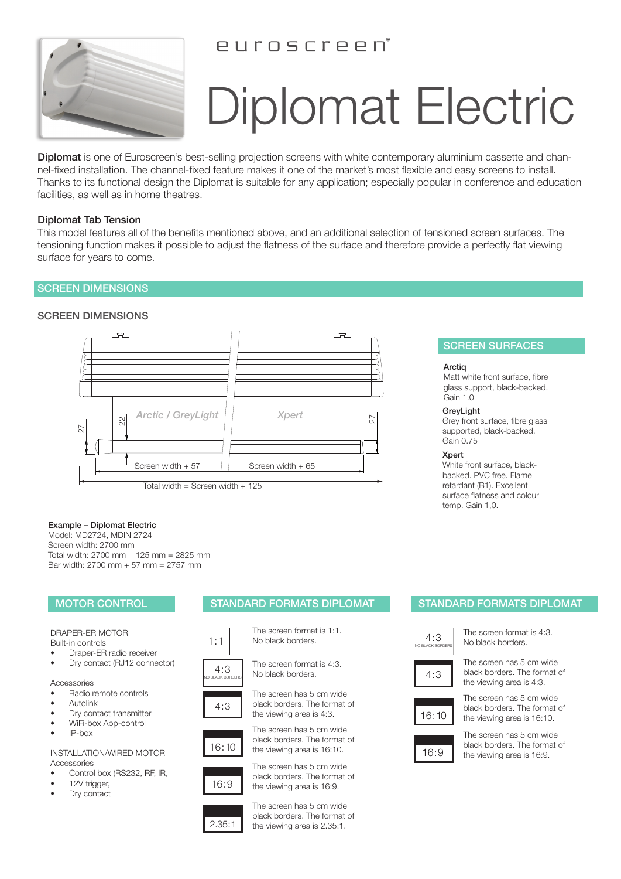## PUINSCIPPD



# Diplomat Electric

Diplomat is one of Euroscreen's best-selling projection screens with white contemporary aluminium cassette and channel-fixed installation. The channel-fixed feature makes it one of the market's most flexible and easy screens to install. Thanks to its functional design the Diplomat is suitable for any application; especially popular in conference and education facilities, as well as in home theatres.

### Diplomat Tab Tension

This model features all of the benefits mentioned above, and an additional selection of tensioned screen surfaces. The tensioning function makes it possible to adjust the flatness of the surface and therefore provide a perfectly flat viewing surface for years to come.

### SCREEN DIMENSIONS

### SCREEN DIMENSIONS



### Example – Diplomat Electric

Model: MD2724, MDIN 2724 Screen width: 2700 mm Total width: 2700 mm + 125 mm = 2825 mm Bar width: 2700 mm + 57 mm = 2757 mm

### DRAPER-ER MOTOR Built-in controls

- Draper-ER radio receiver
- Dry contact (RJ12 connector)

### Accessories

- Radio remote controls
- Autolink
- Dry contact transmitter • WiFi-box App-control
- IP-box
- 

INSTALLATION/WIRED MOTOR Accessories

- Control box (RS232, RF, IR,
- 12V trigger,
- Dry contact

### MOTOR CONTROL **STANDARD FORMATS DIPLOMAT STANDARD FORMATS DIPLOMAT**

The screen format is 1:1. No black borders.



 $1:1$ 





The screen has 5 cm wide black borders. The format of the viewing area is 4:3.



16:10 the viewing area is 16:10. The screen has 5 cm wide black borders. The format of



2.35:1

The screen has 5 cm wide black borders. The format of the viewing area is 16:9.

The screen has 5 cm wide black borders. The format of the viewing area is 2.35:1.

SCREEN SURFACES

Matt white front surface, fibre glass support, black-backed.

Grey front surface, fibre glass supported, black-backed.

White front surface, blackbacked. PVC free. Flame retardant (B1). Excellent surface flatness and colour

**Arctig** 

Gain 1.0 **GrevLight** 

Gain 0.75 Xpert

temp. Gain 1,0.



4 : 3

The screen format is 4:3. No black borders.

The screen has 5 cm wide black borders. The format of the viewing area is 4:3.



The screen has 5 cm wide black borders. The format of the viewing area is 16:10.